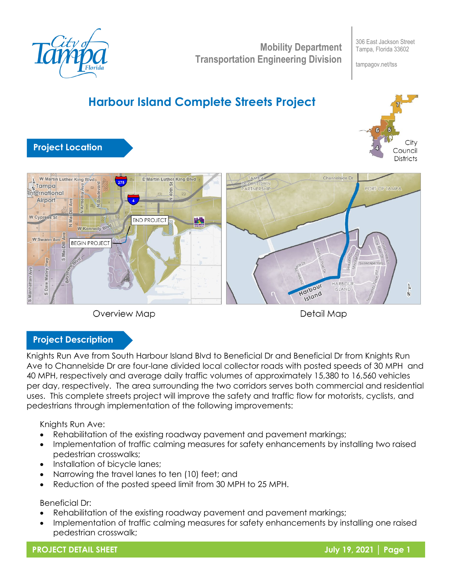

**Mobility Department Transportation Engineering Division**

306 East Jackson Street Tampa, Florida 33602

tampagov.net/tss

# **Harbour Island Complete Streets Project**



# **Project Location**





Detail Map

### **Project Description**

Knights Run Ave from South Harbour Island Blvd to Beneficial Dr and Beneficial Dr from Knights Run Ave to Channelside Dr are four-lane divided local collector roads with posted speeds of 30 MPH and 40 MPH, respectively and average daily traffic volumes of approximately 15,380 to 16,560 vehicles per day, respectively. The area surrounding the two corridors serves both commercial and residential uses. This complete streets project will improve the safety and traffic flow for motorists, cyclists, and pedestrians through implementation of the following improvements:

Knights Run Ave:

- Rehabilitation of the existing roadway pavement and pavement markings;
- Implementation of traffic calming measures for safety enhancements by installing two raised pedestrian crosswalks;
- Installation of bicycle lanes;
- Narrowing the travel lanes to ten (10) feet; and
- Reduction of the posted speed limit from 30 MPH to 25 MPH.

Beneficial Dr:

- Rehabilitation of the existing roadway pavement and pavement markings;
- Implementation of traffic calming measures for safety enhancements by installing one raised pedestrian crosswalk;